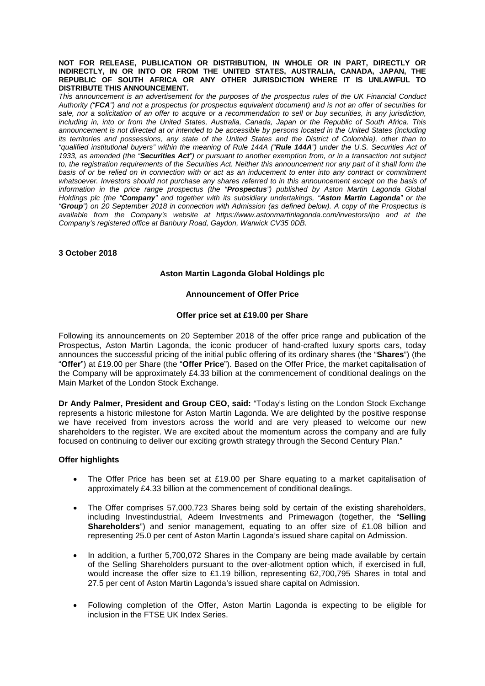**NOT FOR RELEASE, PUBLICATION OR DISTRIBUTION, IN WHOLE OR IN PART, DIRECTLY OR INDIRECTLY, IN OR INTO OR FROM THE UNITED STATES, AUSTRALIA, CANADA, JAPAN, THE REPUBLIC OF SOUTH AFRICA OR ANY OTHER JURISDICTION WHERE IT IS UNLAWFUL TO DISTRIBUTE THIS ANNOUNCEMENT.**

*This announcement is an advertisement for the purposes of the prospectus rules of the UK Financial Conduct Authority ("FCA") and not a prospectus (or prospectus equivalent document) and is not an offer of securities for sale, nor a solicitation of an offer to acquire or a recommendation to sell or buy securities, in any jurisdiction, including in, into or from the United States, Australia, Canada, Japan or the Republic of South Africa. This announcement is not directed at or intended to be accessible by persons located in the United States (including its territories and possessions, any state of the United States and the District of Colombia), other than to "qualified institutional buyers" within the meaning of Rule 144A ("Rule 144A") under the U.S. Securities Act of 1933, as amended (the "Securities Act") or pursuant to another exemption from, or in a transaction not subject*  to, the registration requirements of the Securities Act. Neither this announcement nor any part of it shall form the *basis of or be relied on in connection with or act as an inducement to enter into any contract or commitment whatsoever. Investors should not purchase any shares referred to in this announcement except on the basis of information in the price range prospectus (the "Prospectus") published by Aston Martin Lagonda Global Holdings plc (the "Company" and together with its subsidiary undertakings, "Aston Martin Lagonda" or the "Group") on 20 September 2018 in connection with Admission (as defined below). A copy of the Prospectus is available from the Company's website at https://www.astonmartinlagonda.com/investors/ipo and at the Company's registered office at Banbury Road, Gaydon, Warwick CV35 0DB.*

#### **3 October 2018**

# **Aston Martin Lagonda Global Holdings plc**

#### **Announcement of Offer Price**

#### **Offer price set at £19.00 per Share**

Following its announcements on 20 September 2018 of the offer price range and publication of the Prospectus, Aston Martin Lagonda, the iconic producer of hand-crafted luxury sports cars, today announces the successful pricing of the initial public offering of its ordinary shares (the "**Shares**") (the "**Offer**") at £19.00 per Share (the "**Offer Price**"). Based on the Offer Price, the market capitalisation of the Company will be approximately £4.33 billion at the commencement of conditional dealings on the Main Market of the London Stock Exchange.

**Dr Andy Palmer, President and Group CEO, said:** "Today's listing on the London Stock Exchange represents a historic milestone for Aston Martin Lagonda. We are delighted by the positive response we have received from investors across the world and are very pleased to welcome our new shareholders to the register. We are excited about the momentum across the company and are fully focused on continuing to deliver our exciting growth strategy through the Second Century Plan."

#### **Offer highlights**

- The Offer Price has been set at £19.00 per Share equating to a market capitalisation of approximately £4.33 billion at the commencement of conditional dealings.
- The Offer comprises 57,000,723 Shares being sold by certain of the existing shareholders, including Investindustrial, Adeem Investments and Primewagon (together, the "**Selling Shareholders**") and senior management, equating to an offer size of £1.08 billion and representing 25.0 per cent of Aston Martin Lagonda's issued share capital on Admission.
- In addition, a further 5,700,072 Shares in the Company are being made available by certain of the Selling Shareholders pursuant to the over-allotment option which, if exercised in full, would increase the offer size to £1.19 billion, representing 62,700,795 Shares in total and 27.5 per cent of Aston Martin Lagonda's issued share capital on Admission.
- Following completion of the Offer, Aston Martin Lagonda is expecting to be eligible for inclusion in the FTSE UK Index Series.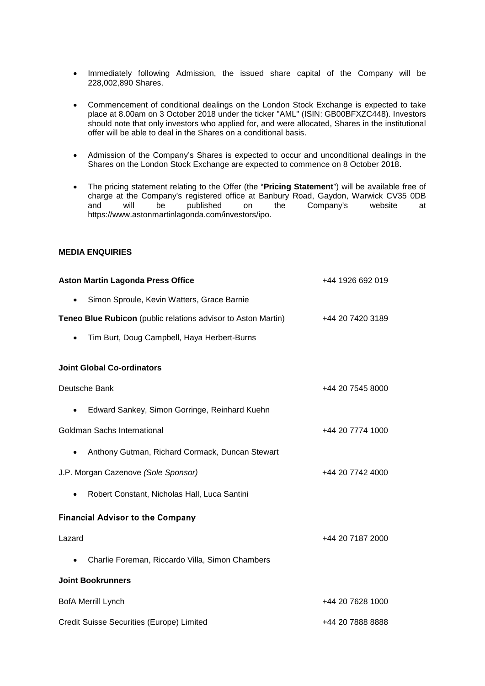- Immediately following Admission, the issued share capital of the Company will be 228,002,890 Shares.
- Commencement of conditional dealings on the London Stock Exchange is expected to take place at 8.00am on 3 October 2018 under the ticker "AML" (ISIN: GB00BFXZC448). Investors should note that only investors who applied for, and were allocated, Shares in the institutional offer will be able to deal in the Shares on a conditional basis.
- Admission of the Company's Shares is expected to occur and unconditional dealings in the Shares on the London Stock Exchange are expected to commence on 8 October 2018.
- The pricing statement relating to the Offer (the "**Pricing Statement**") will be available free of charge at the Company's registered office at Banbury Road, Gaydon, Warwick CV35 0DB<br>and will be published on the Company's website at Company's website at https://www.astonmartinlagonda.com/investors/ipo.

## **MEDIA ENQUIRIES**

| <b>Aston Martin Lagonda Press Office</b>                      | +44 1926 692 019 |
|---------------------------------------------------------------|------------------|
| Simon Sproule, Kevin Watters, Grace Barnie<br>$\bullet$       |                  |
| Teneo Blue Rubicon (public relations advisor to Aston Martin) | +44 20 7420 3189 |
| Tim Burt, Doug Campbell, Haya Herbert-Burns<br>$\bullet$      |                  |
| <b>Joint Global Co-ordinators</b>                             |                  |
| Deutsche Bank                                                 | +44 20 7545 8000 |
| Edward Sankey, Simon Gorringe, Reinhard Kuehn<br>$\bullet$    |                  |
| Goldman Sachs International                                   | +44 20 7774 1000 |
| Anthony Gutman, Richard Cormack, Duncan Stewart<br>$\bullet$  |                  |
| J.P. Morgan Cazenove (Sole Sponsor)                           | +44 20 7742 4000 |
| Robert Constant, Nicholas Hall, Luca Santini<br>$\bullet$     |                  |
| <b>Financial Advisor to the Company</b>                       |                  |
| Lazard                                                        | +44 20 7187 2000 |
| Charlie Foreman, Riccardo Villa, Simon Chambers<br>$\bullet$  |                  |
| <b>Joint Bookrunners</b>                                      |                  |
| <b>BofA Merrill Lynch</b>                                     | +44 20 7628 1000 |
| Credit Suisse Securities (Europe) Limited                     | +44 20 7888 8888 |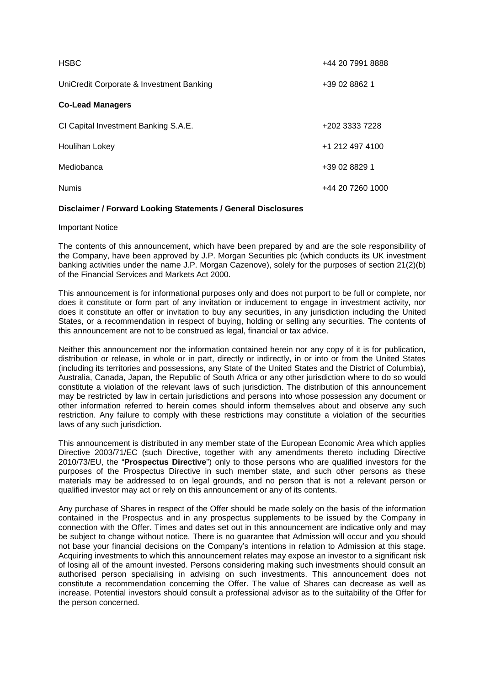| <b>HSBC</b>                              | +44 20 7991 8888 |
|------------------------------------------|------------------|
| UniCredit Corporate & Investment Banking | +39 02 8862 1    |
| <b>Co-Lead Managers</b>                  |                  |
| CI Capital Investment Banking S.A.E.     | +202 3333 7228   |
| <b>Houlihan Lokey</b>                    | +1 212 497 4100  |
| Mediobanca                               | +39 02 8829 1    |
| <b>Numis</b>                             | +44 20 7260 1000 |

## **Disclaimer / Forward Looking Statements / General Disclosures**

Important Notice

The contents of this announcement, which have been prepared by and are the sole responsibility of the Company, have been approved by J.P. Morgan Securities plc (which conducts its UK investment banking activities under the name J.P. Morgan Cazenove), solely for the purposes of section 21(2)(b) of the Financial Services and Markets Act 2000.

This announcement is for informational purposes only and does not purport to be full or complete, nor does it constitute or form part of any invitation or inducement to engage in investment activity, nor does it constitute an offer or invitation to buy any securities, in any jurisdiction including the United States, or a recommendation in respect of buying, holding or selling any securities. The contents of this announcement are not to be construed as legal, financial or tax advice.

Neither this announcement nor the information contained herein nor any copy of it is for publication, distribution or release, in whole or in part, directly or indirectly, in or into or from the United States (including its territories and possessions, any State of the United States and the District of Columbia), Australia, Canada, Japan, the Republic of South Africa or any other jurisdiction where to do so would constitute a violation of the relevant laws of such jurisdiction. The distribution of this announcement may be restricted by law in certain jurisdictions and persons into whose possession any document or other information referred to herein comes should inform themselves about and observe any such restriction. Any failure to comply with these restrictions may constitute a violation of the securities laws of any such jurisdiction.

This announcement is distributed in any member state of the European Economic Area which applies Directive 2003/71/EC (such Directive, together with any amendments thereto including Directive 2010/73/EU, the "**Prospectus Directive**") only to those persons who are qualified investors for the purposes of the Prospectus Directive in such member state, and such other persons as these materials may be addressed to on legal grounds, and no person that is not a relevant person or qualified investor may act or rely on this announcement or any of its contents.

Any purchase of Shares in respect of the Offer should be made solely on the basis of the information contained in the Prospectus and in any prospectus supplements to be issued by the Company in connection with the Offer. Times and dates set out in this announcement are indicative only and may be subject to change without notice. There is no guarantee that Admission will occur and you should not base your financial decisions on the Company's intentions in relation to Admission at this stage. Acquiring investments to which this announcement relates may expose an investor to a significant risk of losing all of the amount invested. Persons considering making such investments should consult an authorised person specialising in advising on such investments. This announcement does not constitute a recommendation concerning the Offer. The value of Shares can decrease as well as increase. Potential investors should consult a professional advisor as to the suitability of the Offer for the person concerned.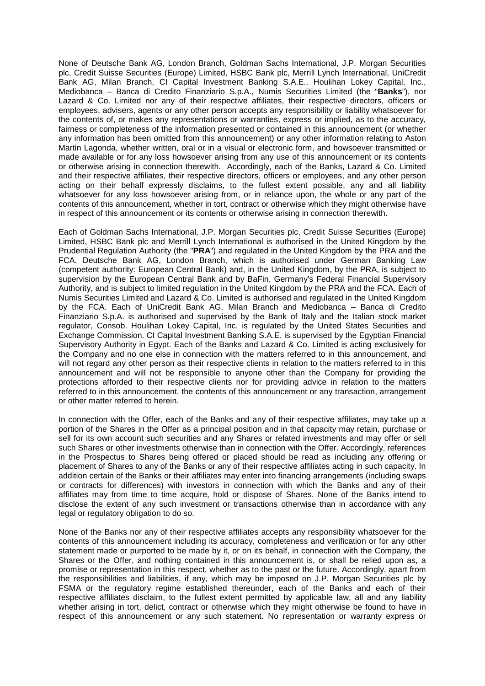None of Deutsche Bank AG, London Branch, Goldman Sachs International, J.P. Morgan Securities plc, Credit Suisse Securities (Europe) Limited, HSBC Bank plc, Merrill Lynch International, UniCredit Bank AG, Milan Branch, CI Capital Investment Banking S.A.E., Houlihan Lokey Capital, Inc., Mediobanca – Banca di Credito Finanziario S.p.A., Numis Securities Limited (the "**Banks**"), nor Lazard & Co. Limited nor any of their respective affiliates, their respective directors, officers or employees, advisers, agents or any other person accepts any responsibility or liability whatsoever for the contents of, or makes any representations or warranties, express or implied, as to the accuracy, fairness or completeness of the information presented or contained in this announcement (or whether any information has been omitted from this announcement) or any other information relating to Aston Martin Lagonda, whether written, oral or in a visual or electronic form, and howsoever transmitted or made available or for any loss howsoever arising from any use of this announcement or its contents or otherwise arising in connection therewith. Accordingly, each of the Banks, Lazard & Co. Limited and their respective affiliates, their respective directors, officers or employees, and any other person acting on their behalf expressly disclaims, to the fullest extent possible, any and all liability whatsoever for any loss howsoever arising from, or in reliance upon, the whole or any part of the contents of this announcement, whether in tort, contract or otherwise which they might otherwise have in respect of this announcement or its contents or otherwise arising in connection therewith.

Each of Goldman Sachs International, J.P. Morgan Securities plc, Credit Suisse Securities (Europe) Limited, HSBC Bank plc and Merrill Lynch International is authorised in the United Kingdom by the Prudential Regulation Authority (the "**PRA**") and regulated in the United Kingdom by the PRA and the FCA. Deutsche Bank AG, London Branch, which is authorised under German Banking Law (competent authority: European Central Bank) and, in the United Kingdom, by the PRA, is subject to supervision by the European Central Bank and by BaFin, Germany's Federal Financial Supervisory Authority, and is subject to limited regulation in the United Kingdom by the PRA and the FCA. Each of Numis Securities Limited and Lazard & Co. Limited is authorised and regulated in the United Kingdom by the FCA. Each of UniCredit Bank AG, Milan Branch and Mediobanca – Banca di Credito Finanziario S.p.A. is authorised and supervised by the Bank of Italy and the Italian stock market regulator, Consob. Houlihan Lokey Capital, Inc. is regulated by the United States Securities and Exchange Commission. CI Capital Investment Banking S.A.E. is supervised by the Egyptian Financial Supervisory Authority in Egypt. Each of the Banks and Lazard & Co. Limited is acting exclusively for the Company and no one else in connection with the matters referred to in this announcement, and will not regard any other person as their respective clients in relation to the matters referred to in this announcement and will not be responsible to anyone other than the Company for providing the protections afforded to their respective clients nor for providing advice in relation to the matters referred to in this announcement, the contents of this announcement or any transaction, arrangement or other matter referred to herein.

In connection with the Offer, each of the Banks and any of their respective affiliates, may take up a portion of the Shares in the Offer as a principal position and in that capacity may retain, purchase or sell for its own account such securities and any Shares or related investments and may offer or sell such Shares or other investments otherwise than in connection with the Offer. Accordingly, references in the Prospectus to Shares being offered or placed should be read as including any offering or placement of Shares to any of the Banks or any of their respective affiliates acting in such capacity. In addition certain of the Banks or their affiliates may enter into financing arrangements (including swaps or contracts for differences) with investors in connection with which the Banks and any of their affiliates may from time to time acquire, hold or dispose of Shares. None of the Banks intend to disclose the extent of any such investment or transactions otherwise than in accordance with any legal or regulatory obligation to do so.

None of the Banks nor any of their respective affiliates accepts any responsibility whatsoever for the contents of this announcement including its accuracy, completeness and verification or for any other statement made or purported to be made by it, or on its behalf, in connection with the Company, the Shares or the Offer, and nothing contained in this announcement is, or shall be relied upon as, a promise or representation in this respect, whether as to the past or the future. Accordingly, apart from the responsibilities and liabilities, if any, which may be imposed on J.P. Morgan Securities plc by FSMA or the regulatory regime established thereunder, each of the Banks and each of their respective affiliates disclaim, to the fullest extent permitted by applicable law, all and any liability whether arising in tort, delict, contract or otherwise which they might otherwise be found to have in respect of this announcement or any such statement. No representation or warranty express or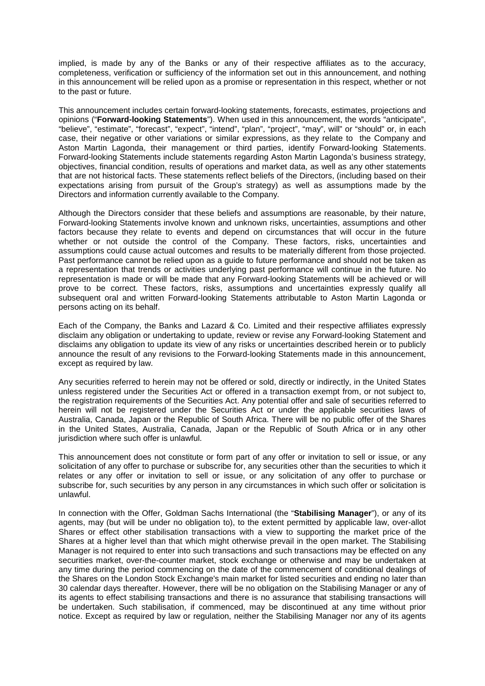implied, is made by any of the Banks or any of their respective affiliates as to the accuracy, completeness, verification or sufficiency of the information set out in this announcement, and nothing in this announcement will be relied upon as a promise or representation in this respect, whether or not to the past or future.

This announcement includes certain forward-looking statements, forecasts, estimates, projections and opinions ("**Forward-looking Statements**"). When used in this announcement, the words "anticipate", "believe", "estimate", "forecast", "expect", "intend", "plan", "project", "may", will" or "should" or, in each case, their negative or other variations or similar expressions, as they relate to the Company and Aston Martin Lagonda, their management or third parties, identify Forward-looking Statements. Forward-looking Statements include statements regarding Aston Martin Lagonda's business strategy, objectives, financial condition, results of operations and market data, as well as any other statements that are not historical facts. These statements reflect beliefs of the Directors, (including based on their expectations arising from pursuit of the Group's strategy) as well as assumptions made by the Directors and information currently available to the Company.

Although the Directors consider that these beliefs and assumptions are reasonable, by their nature, Forward-looking Statements involve known and unknown risks, uncertainties, assumptions and other factors because they relate to events and depend on circumstances that will occur in the future whether or not outside the control of the Company. These factors, risks, uncertainties and assumptions could cause actual outcomes and results to be materially different from those projected. Past performance cannot be relied upon as a guide to future performance and should not be taken as a representation that trends or activities underlying past performance will continue in the future. No representation is made or will be made that any Forward-looking Statements will be achieved or will prove to be correct. These factors, risks, assumptions and uncertainties expressly qualify all subsequent oral and written Forward-looking Statements attributable to Aston Martin Lagonda or persons acting on its behalf.

Each of the Company, the Banks and Lazard & Co. Limited and their respective affiliates expressly disclaim any obligation or undertaking to update, review or revise any Forward-looking Statement and disclaims any obligation to update its view of any risks or uncertainties described herein or to publicly announce the result of any revisions to the Forward-looking Statements made in this announcement, except as required by law.

Any securities referred to herein may not be offered or sold, directly or indirectly, in the United States unless registered under the Securities Act or offered in a transaction exempt from, or not subject to, the registration requirements of the Securities Act. Any potential offer and sale of securities referred to herein will not be registered under the Securities Act or under the applicable securities laws of Australia, Canada, Japan or the Republic of South Africa. There will be no public offer of the Shares in the United States, Australia, Canada, Japan or the Republic of South Africa or in any other jurisdiction where such offer is unlawful.

This announcement does not constitute or form part of any offer or invitation to sell or issue, or any solicitation of any offer to purchase or subscribe for, any securities other than the securities to which it relates or any offer or invitation to sell or issue, or any solicitation of any offer to purchase or subscribe for, such securities by any person in any circumstances in which such offer or solicitation is unlawful.

In connection with the Offer, Goldman Sachs International (the "**Stabilising Manager**"), or any of its agents, may (but will be under no obligation to), to the extent permitted by applicable law, over-allot Shares or effect other stabilisation transactions with a view to supporting the market price of the Shares at a higher level than that which might otherwise prevail in the open market. The Stabilising Manager is not required to enter into such transactions and such transactions may be effected on any securities market, over-the-counter market, stock exchange or otherwise and may be undertaken at any time during the period commencing on the date of the commencement of conditional dealings of the Shares on the London Stock Exchange's main market for listed securities and ending no later than 30 calendar days thereafter. However, there will be no obligation on the Stabilising Manager or any of its agents to effect stabilising transactions and there is no assurance that stabilising transactions will be undertaken. Such stabilisation, if commenced, may be discontinued at any time without prior notice. Except as required by law or regulation, neither the Stabilising Manager nor any of its agents